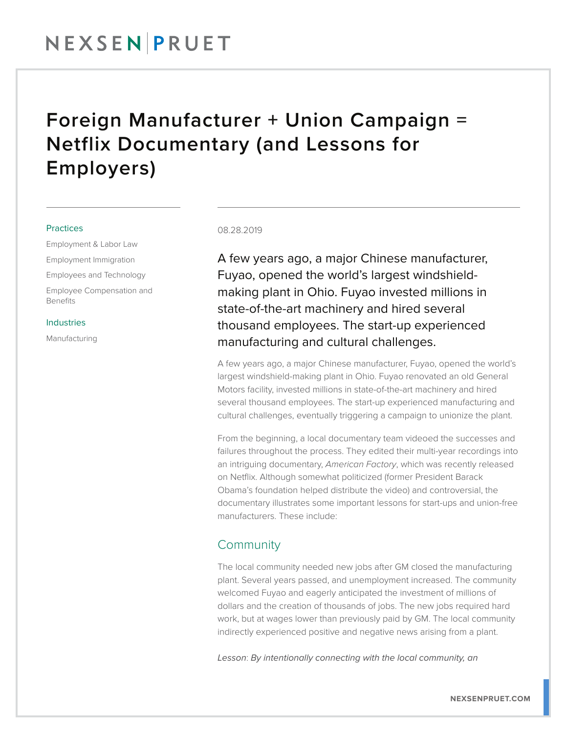# NEXSENPRUET

## Foreign Manufacturer + Union Campaign = Netflix Documentary (and Lessons for Employers)

### **Practices**

Employment & Labor Law Employment Immigration Employees and Technology Employee Compensation and Benefits

### Industries

Manufacturing

#### 08.28.2019

A few years ago, a major Chinese manufacturer, Fuyao, opened the world's largest windshieldmaking plant in Ohio. Fuyao invested millions in state-of-the-art machinery and hired several thousand employees. The start-up experienced manufacturing and cultural challenges.

A few years ago, a major Chinese manufacturer, Fuyao, opened the world's largest windshield-making plant in Ohio. Fuyao renovated an old General Motors facility, invested millions in state-of-the-art machinery and hired several thousand employees. The start-up experienced manufacturing and cultural challenges, eventually triggering a campaign to unionize the plant.

From the beginning, a local documentary team videoed the successes and failures throughout the process. They edited their multi-year recordings into an intriguing documentary, *American Factory*, which was recently released on Netflix. Although somewhat politicized (former President Barack Obama's foundation helped distribute the video) and controversial, the documentary illustrates some important lessons for start-ups and union-free manufacturers. These include:

## **Community**

The local community needed new jobs after GM closed the manufacturing plant. Several years passed, and unemployment increased. The community welcomed Fuyao and eagerly anticipated the investment of millions of dollars and the creation of thousands of jobs. The new jobs required hard work, but at wages lower than previously paid by GM. The local community indirectly experienced positive and negative news arising from a plant.

*Lesson*: *By intentionally connecting with the local community, an*